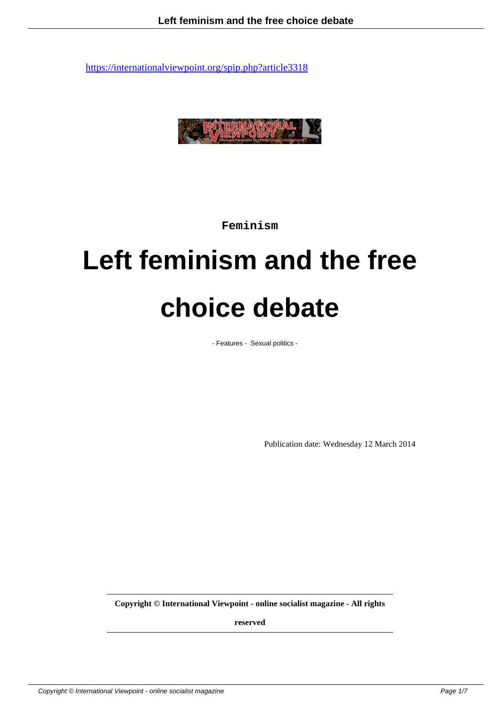

**Feminism**

# **Left feminism and the free choice debate**

- Features - Sexual politics -

Publication date: Wednesday 12 March 2014

**Copyright © International Viewpoint - online socialist magazine - All rights**

**reserved**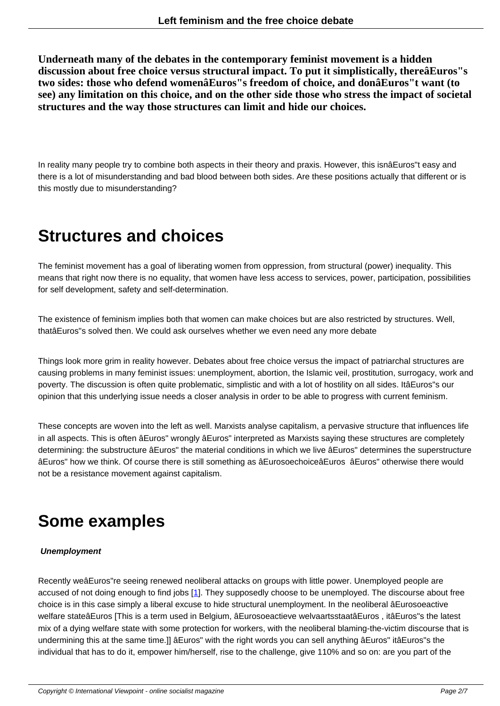**Underneath many of the debates in the contemporary feminist movement is a hidden discussion about free choice versus structural impact. To put it simplistically, thereâEuros"s two sides: those who defend womenâEuros"s freedom of choice, and donâEuros"t want (to see) any limitation on this choice, and on the other side those who stress the impact of societal structures and the way those structures can limit and hide our choices.**

In reality many people try to combine both aspects in their theory and praxis. However, this isnâEuros"t easy and there is a lot of misunderstanding and bad blood between both sides. Are these positions actually that different or is this mostly due to misunderstanding?

### **Structures and choices**

The feminist movement has a goal of liberating women from oppression, from structural (power) inequality. This means that right now there is no equality, that women have less access to services, power, participation, possibilities for self development, safety and self-determination.

The existence of feminism implies both that women can make choices but are also restricted by structures. Well, thatâEuros"s solved then. We could ask ourselves whether we even need any more debate

Things look more grim in reality however. Debates about free choice versus the impact of patriarchal structures are causing problems in many feminist issues: unemployment, abortion, the Islamic veil, prostitution, surrogacy, work and poverty. The discussion is often quite problematic, simplistic and with a lot of hostility on all sides. ItâEuros"s our opinion that this underlying issue needs a closer analysis in order to be able to progress with current feminism.

These concepts are woven into the left as well. Marxists analyse capitalism, a pervasive structure that influences life in all aspects. This is often âEuros" wrongly âEuros" interpreted as Marxists saying these structures are completely determining: the substructure âEuros" the material conditions in which we live âEuros" determines the superstructure âEuros" how we think. Of course there is still something as âEurosoechoiceâEuros âEuros" otherwise there would not be a resistance movement against capitalism.

### **Some examples**

#### **Unemployment**

Recently weâEuros"re seeing renewed neoliberal attacks on groups with little power. Unemployed people are accused of not doing enough to find jobs [1]. They supposedly choose to be unemployed. The discourse about free choice is in this case simply a liberal excuse to hide structural unemployment. In the neoliberal âEurosoeactive welfare stateâEuros [This is a term used in Belgium, âEurosoeactieve welvaartsstaatâEuros , itâEuros"s the latest mix of a dying welfare state with some protection for workers, with the neoliberal blaming-the-victim discourse that is undermining this at the same time.]] âEur[os](#nb1)" with the right words you can sell anything âEuros" itâEuros"s the individual that has to do it, empower him/herself, rise to the challenge, give 110% and so on: are you part of the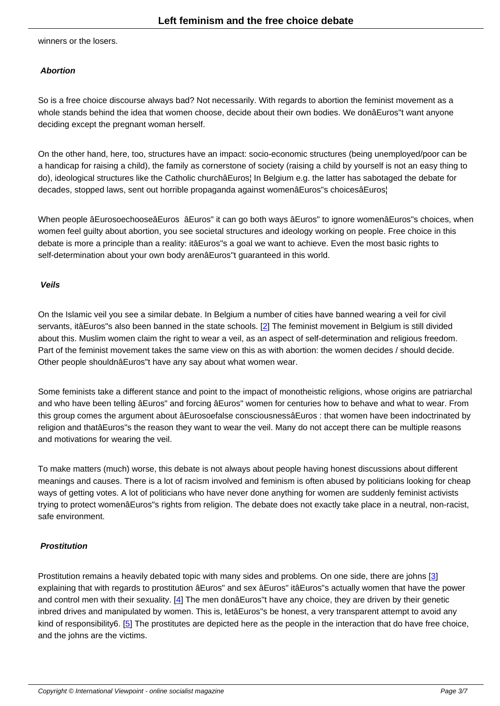winners or the losers.

#### **Abortion**

So is a free choice discourse always bad? Not necessarily. With regards to abortion the feminist movement as a whole stands behind the idea that women choose, decide about their own bodies. We donâEuros"t want anyone deciding except the pregnant woman herself.

On the other hand, here, too, structures have an impact: socio-economic structures (being unemployed/poor can be a handicap for raising a child), the family as cornerstone of society (raising a child by yourself is not an easy thing to do), ideological structures like the Catholic churchâEuros¦ In Belgium e.g. the latter has sabotaged the debate for decades, stopped laws, sent out horrible propaganda against womenâEuros"s choicesâEuros¦

When people âEurosoechooseâEuros âEuros" it can go both ways âEuros" to ignore womenâEuros"s choices, when women feel guilty about abortion, you see societal structures and ideology working on people. Free choice in this debate is more a principle than a reality: itâEuros"s a goal we want to achieve. Even the most basic rights to self-determination about your own body arenâEuros"t guaranteed in this world.

#### **Veils**

On the Islamic veil you see a similar debate. In Belgium a number of cities have banned wearing a veil for civil servants, itâEuros"s also been banned in the state schools. [2] The feminist movement in Belgium is still divided about this. Muslim women claim the right to wear a veil, as an aspect of self-determination and religious freedom. Part of the feminist movement takes the same view on this as with abortion: the women decides / should decide. Other people shouldnâEuros"t have any say about what wo[me](#nb2)n wear.

Some feminists take a different stance and point to the impact of monotheistic religions, whose origins are patriarchal and who have been telling âEuros" and forcing âEuros" women for centuries how to behave and what to wear. From this group comes the argument about âEurosoefalse consciousnessâEuros : that women have been indoctrinated by religion and thatâEuros"s the reason they want to wear the veil. Many do not accept there can be multiple reasons and motivations for wearing the veil.

To make matters (much) worse, this debate is not always about people having honest discussions about different meanings and causes. There is a lot of racism involved and feminism is often abused by politicians looking for cheap ways of getting votes. A lot of politicians who have never done anything for women are suddenly feminist activists trying to protect womenâEuros"s rights from religion. The debate does not exactly take place in a neutral, non-racist, safe environment.

#### **Prostitution**

Prostitution remains a heavily debated topic with many sides and problems. On one side, there are johns [3] explaining that with regards to prostitution âEuros" and sex âEuros" itâEuros"s actually women that have the power and control men with their sexuality. [4] The men donâEuros"t have any choice, they are driven by their genetic inbred drives and manipulated by women. This is, letâEuros"s be honest, a very transparent attempt to avoid any kind of responsibility6. [5] The prostitutes are depicted here as the people in the interaction that do have fr[ee](#nb3) choice, and the johns are the victims.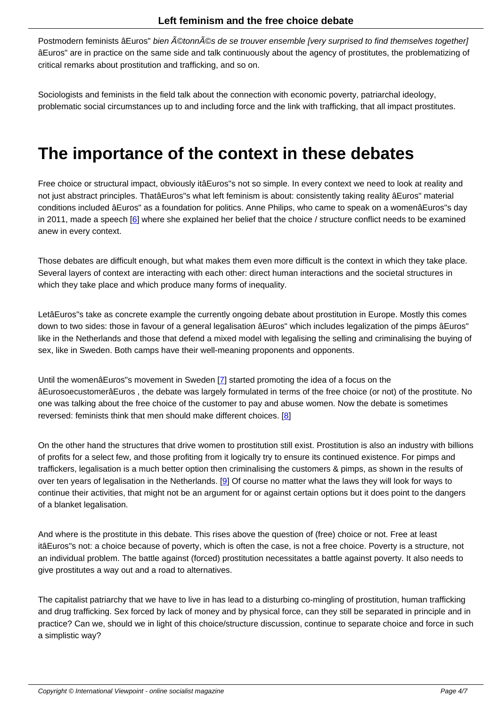Postmodern feminists âEuros" bien étonnés de se trouver ensemble [very surprised to find themselves together] âEuros" are in practice on the same side and talk continuously about the agency of prostitutes, the problematizing of critical remarks about prostitution and trafficking, and so on.

Sociologists and feminists in the field talk about the connection with economic poverty, patriarchal ideology, problematic social circumstances up to and including force and the link with trafficking, that all impact prostitutes.

### **The importance of the context in these debates**

Free choice or structural impact, obviously itâEuros"s not so simple. In every context we need to look at reality and not just abstract principles. ThatâEuros"s what left feminism is about: consistently taking reality âEuros" material conditions included âEuros" as a foundation for politics. Anne Philips, who came to speak on a womenâEuros"s day in 2011, made a speech [6] where she explained her belief that the choice / structure conflict needs to be examined anew in every context.

Those debates are difficu[lt](#nb6) enough, but what makes them even more difficult is the context in which they take place. Several layers of context are interacting with each other: direct human interactions and the societal structures in which they take place and which produce many forms of inequality.

LetâEuros"s take as concrete example the currently ongoing debate about prostitution in Europe. Mostly this comes down to two sides: those in favour of a general legalisation âEuros" which includes legalization of the pimps âEuros" like in the Netherlands and those that defend a mixed model with legalising the selling and criminalising the buying of sex, like in Sweden. Both camps have their well-meaning proponents and opponents.

Until the womenâEuros"s movement in Sweden [7] started promoting the idea of a focus on the âEurosoecustomerâEuros , the debate was largely formulated in terms of the free choice (or not) of the prostitute. No one was talking about the free choice of the customer to pay and abuse women. Now the debate is sometimes reversed: feminists think that men should make [dif](#nb7)ferent choices. [8]

On the other hand the structures that drive women to prostitution still exist. Prostitution is also an industry with billions of profits for a select few, and those profiting from it logically try to [en](#nb8)sure its continued existence. For pimps and traffickers, legalisation is a much better option then criminalising the customers & pimps, as shown in the results of over ten years of legalisation in the Netherlands. [9] Of course no matter what the laws they will look for ways to continue their activities, that might not be an argument for or against certain options but it does point to the dangers of a blanket legalisation.

And where is the prostitute in this debate. This rises above the question of (free) choice or not. Free at least itâEuros"s not: a choice because of poverty, which is often the case, is not a free choice. Poverty is a structure, not an individual problem. The battle against (forced) prostitution necessitates a battle against poverty. It also needs to give prostitutes a way out and a road to alternatives.

The capitalist patriarchy that we have to live in has lead to a disturbing co-mingling of prostitution, human trafficking and drug trafficking. Sex forced by lack of money and by physical force, can they still be separated in principle and in practice? Can we, should we in light of this choice/structure discussion, continue to separate choice and force in such a simplistic way?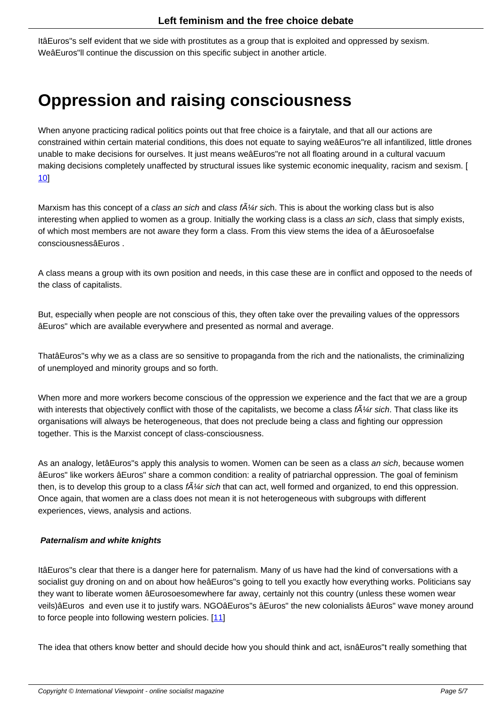ItâEuros"s self evident that we side with prostitutes as a group that is exploited and oppressed by sexism. WeâEuros"ll continue the discussion on this specific subject in another article.

### **Oppression and raising consciousness**

When anyone practicing radical politics points out that free choice is a fairytale, and that all our actions are constrained within certain material conditions, this does not equate to saying weâEuros"re all infantilized, little drones unable to make decisions for ourselves. It just means weâEuros"re not all floating around in a cultural vacuum making decisions completely unaffected by structural issues like systemic economic inequality, racism and sexism. [ 10]

Marxism has this concept of a class an sich and class  $t\tilde{A}$ / $\alpha$  sich. This is about the working class but is also [inte](#nb10)resting when applied to women as a group. Initially the working class is a class an sich, class that simply exists, of which most members are not aware they form a class. From this view stems the idea of a âEurosoefalse consciousnessâEuros .

A class means a group with its own position and needs, in this case these are in conflict and opposed to the needs of the class of capitalists.

But, especially when people are not conscious of this, they often take over the prevailing values of the oppressors âEuros" which are available everywhere and presented as normal and average.

ThatâEuros"s why we as a class are so sensitive to propaganda from the rich and the nationalists, the criminalizing of unemployed and minority groups and so forth.

When more and more workers become conscious of the oppression we experience and the fact that we are a group with interests that objectively conflict with those of the capitalists, we become a class  $\hbar \mathcal{U}$ r sich. That class like its organisations will always be heterogeneous, that does not preclude being a class and fighting our oppression together. This is the Marxist concept of class-consciousness.

As an analogy, letâEuros"s apply this analysis to women. Women can be seen as a class an sich, because women âEuros" like workers âEuros" share a common condition: a reality of patriarchal oppression. The goal of feminism then, is to develop this group to a class  $\tilde{A}$ //*i* sich that can act, well formed and organized, to end this oppression. Once again, that women are a class does not mean it is not heterogeneous with subgroups with different experiences, views, analysis and actions.

#### **Paternalism and white knights**

ItâEuros"s clear that there is a danger here for paternalism. Many of us have had the kind of conversations with a socialist guy droning on and on about how heâEuros"s going to tell you exactly how everything works. Politicians say they want to liberate women âEurosoesomewhere far away, certainly not this country (unless these women wear veils)âEuros and even use it to justify wars. NGOâEuros"s âEuros" the new colonialists âEuros" wave money around to force people into following western policies. [11]

The idea that others know better and should decide how you should think and act, isnâEuros"t really something that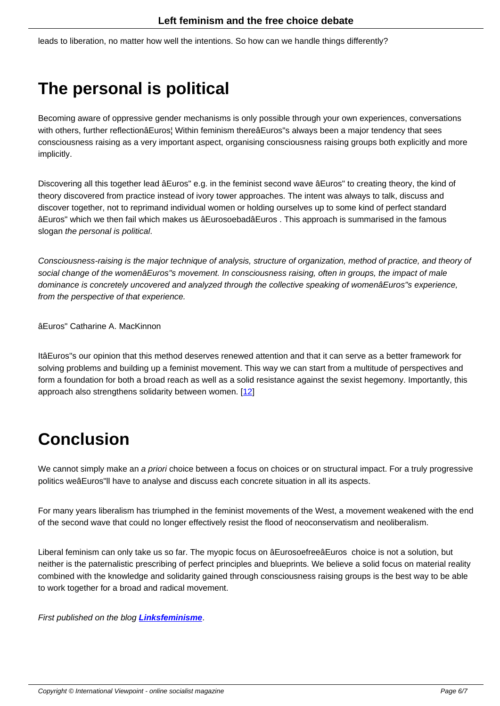# **The personal is political**

Becoming aware of oppressive gender mechanisms is only possible through your own experiences, conversations with others, further reflectionâEuros¦ Within feminism thereâEuros"s always been a major tendency that sees consciousness raising as a very important aspect, organising consciousness raising groups both explicitly and more implicitly.

Discovering all this together lead âEuros" e.g. in the feminist second wave âEuros" to creating theory, the kind of theory discovered from practice instead of ivory tower approaches. The intent was always to talk, discuss and discover together, not to reprimand individual women or holding ourselves up to some kind of perfect standard âEuros" which we then fail which makes us âEurosoebadâEuros . This approach is summarised in the famous slogan the personal is political.

Consciousness-raising is the major technique of analysis, structure of organization, method of practice, and theory of social change of the womenâEuros"s movement. In consciousness raising, often in groups, the impact of male dominance is concretely uncovered and analyzed through the collective speaking of womenâEuros"s experience, from the perspective of that experience.

âEuros" Catharine A. MacKinnon

ItâEuros"s our opinion that this method deserves renewed attention and that it can serve as a better framework for solving problems and building up a feminist movement. This way we can start from a multitude of perspectives and form a foundation for both a broad reach as well as a solid resistance against the sexist hegemony. Importantly, this approach also strengthens solidarity between women. [12]

## **Conclusion**

We cannot simply make an a priori choice between a focus on choices or on structural impact. For a truly progressive politics weâEuros"ll have to analyse and discuss each concrete situation in all its aspects.

For many years liberalism has triumphed in the feminist movements of the West, a movement weakened with the end of the second wave that could no longer effectively resist the flood of neoconservatism and neoliberalism.

Liberal feminism can only take us so far. The myopic focus on âEurosoefreeâEuros choice is not a solution, but neither is the paternalistic prescribing of perfect principles and blueprints. We believe a solid focus on material reality combined with the knowledge and solidarity gained through consciousness raising groups is the best way to be able to work together for a broad and radical movement.

First published on the blog **Linksfeminisme**.